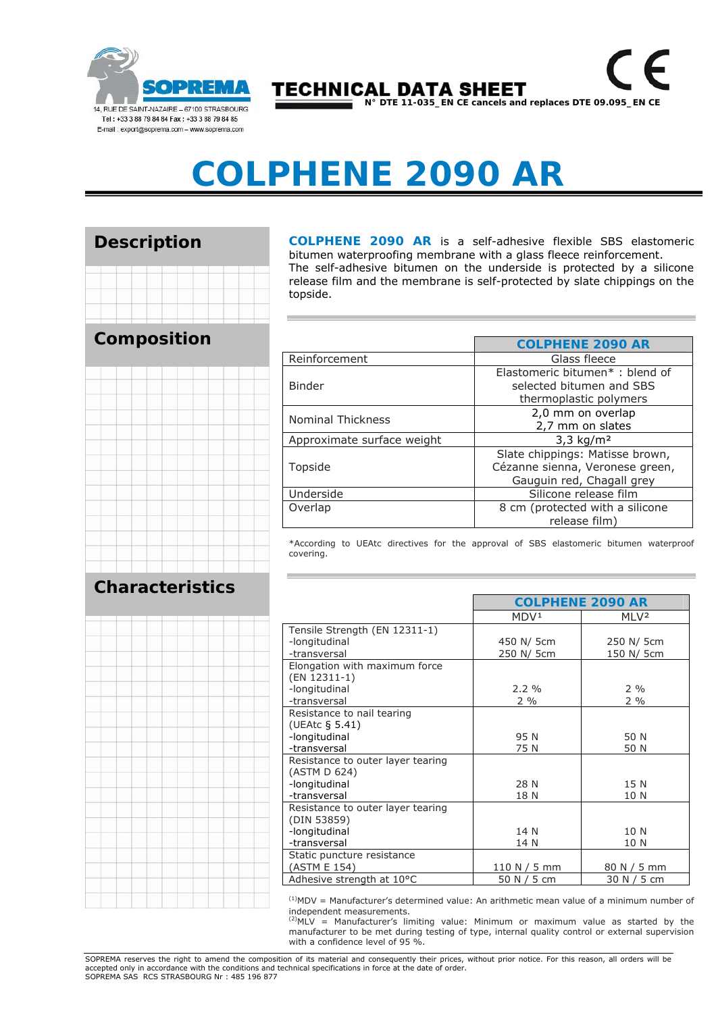

**TECHNICAL DATA SHEET N° DTE 11-035\_EN CE cancels and replaces DTE 09.095\_EN CE** 

# **COLPHENE 2090 AR**

#### **Description**

## **Composition**



**COLPHENE 2090 AR** is a self-adhesive flexible SBS elastomeric bitumen waterproofing membrane with a glass fleece reinforcement. The self-adhesive bitumen on the underside is protected by a silicone release film and the membrane is self-protected by slate chippings on the topside.

|                            | <b>COLPHENE 2090 AR</b>                                                                         |  |  |
|----------------------------|-------------------------------------------------------------------------------------------------|--|--|
| Reinforcement              | Glass fleece                                                                                    |  |  |
| <b>Binder</b>              | Elastomeric bitumen*: blend of<br>selected bitumen and SBS<br>thermoplastic polymers            |  |  |
| <b>Nominal Thickness</b>   | 2,0 mm on overlap<br>2,7 mm on slates                                                           |  |  |
| Approximate surface weight | $3,3 \text{ kg/m}^2$                                                                            |  |  |
| Topside                    | Slate chippings: Matisse brown,<br>Cézanne sienna, Veronese green,<br>Gauguin red, Chagall grey |  |  |
| Underside                  | Silicone release film                                                                           |  |  |
| Overlap                    | 8 cm (protected with a silicone<br>release film)                                                |  |  |

\*According to UEAtc directives for the approval of SBS elastomeric bitumen waterproof covering.

┍

**COLPHENE 2090 AR**

### **Characteristics**



| UULI IILIVE ZU /U AIV |                                      |  |
|-----------------------|--------------------------------------|--|
| MDV <sup>1</sup>      | MLV <sup>2</sup>                     |  |
|                       |                                      |  |
| 450 N/ 5cm            | 250 N/ 5cm                           |  |
| 250 N/ 5cm            | 150 N/ 5cm                           |  |
|                       |                                      |  |
|                       |                                      |  |
| $2.2 \%$              | $2\%$                                |  |
| $2\%$                 | $2\%$                                |  |
|                       |                                      |  |
|                       |                                      |  |
|                       | 50 N                                 |  |
|                       | 50 N                                 |  |
|                       |                                      |  |
|                       |                                      |  |
|                       | 15 N                                 |  |
|                       | 10 N                                 |  |
|                       |                                      |  |
|                       |                                      |  |
|                       | 10 N                                 |  |
| 14 N                  | 10 N                                 |  |
|                       |                                      |  |
| 110 N / 5 mm          | 80 N / 5 mm                          |  |
| 50 N / 5 cm           | 30 N / 5 cm                          |  |
|                       | 95 N<br>75 N<br>28 N<br>18 N<br>14 N |  |

 $<sup>(1)</sup>MDV =$  Manufacturer's determined value: An arithmetic mean value of a minimum number of</sup> independent measurements.

 $^{(2)}$ MLV = Manufacturer's limiting value: Minimum or maximum value as started by the manufacturer to be met during testing of type, internal quality control or external supervision with a confidence level of 95 %.

SOPREMA reserves the right to amend the composition of its material and consequently their prices, without prior notice. For this reason, all orders will be accepted only in accordance with the conditions and technical specifications in force at the date of order. SOPREMA SAS RCS STRASBOURG Nr : 485 196 877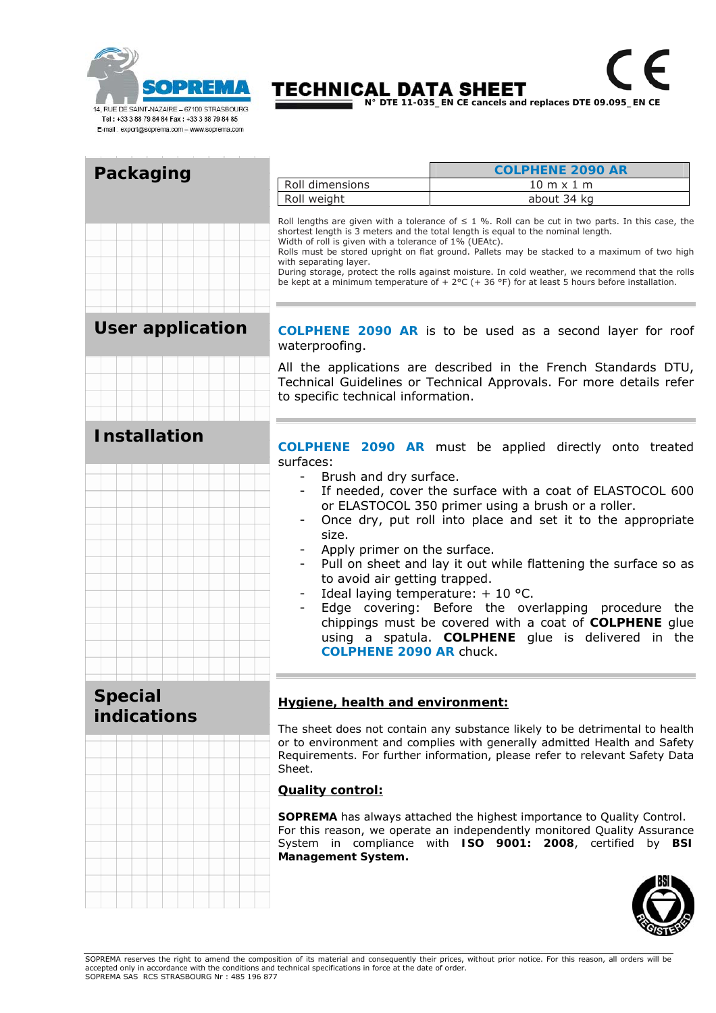

## **TECHNICAL DATA SHEET**

 $\epsilon$ 

 $\sqrt{s}$ 

| Packaging                     |                                                                                                                                                                                                                                                                                                                                                                                                                                                                                                                                                                                              | <b>COLPHENE 2090 AR</b>                                                                                                                                                                                                                |  |  |
|-------------------------------|----------------------------------------------------------------------------------------------------------------------------------------------------------------------------------------------------------------------------------------------------------------------------------------------------------------------------------------------------------------------------------------------------------------------------------------------------------------------------------------------------------------------------------------------------------------------------------------------|----------------------------------------------------------------------------------------------------------------------------------------------------------------------------------------------------------------------------------------|--|--|
|                               | Roll dimensions                                                                                                                                                                                                                                                                                                                                                                                                                                                                                                                                                                              | $10 m \times 1 m$                                                                                                                                                                                                                      |  |  |
|                               | Roll weight                                                                                                                                                                                                                                                                                                                                                                                                                                                                                                                                                                                  | about 34 kg                                                                                                                                                                                                                            |  |  |
|                               | Roll lengths are given with a tolerance of $\leq$ 1 %. Roll can be cut in two parts. In this case, the<br>shortest length is 3 meters and the total length is equal to the nominal length.<br>Width of roll is given with a tolerance of 1% (UEAtc).<br>Rolls must be stored upright on flat ground. Pallets may be stacked to a maximum of two high<br>with separating layer.<br>During storage, protect the rolls against moisture. In cold weather, we recommend that the rolls<br>be kept at a minimum temperature of + $2^{\circ}C$ (+ 36 °F) for at least 5 hours before installation. |                                                                                                                                                                                                                                        |  |  |
| <b>User application</b>       | COLPHENE 2090 AR is to be used as a second layer for roof<br>waterproofing.                                                                                                                                                                                                                                                                                                                                                                                                                                                                                                                  |                                                                                                                                                                                                                                        |  |  |
|                               | All the applications are described in the French Standards DTU,<br>Technical Guidelines or Technical Approvals. For more details refer<br>to specific technical information.                                                                                                                                                                                                                                                                                                                                                                                                                 |                                                                                                                                                                                                                                        |  |  |
| <b>Installation</b>           |                                                                                                                                                                                                                                                                                                                                                                                                                                                                                                                                                                                              |                                                                                                                                                                                                                                        |  |  |
|                               | <b>COLPHENE 2090 AR</b> must be applied directly onto treated                                                                                                                                                                                                                                                                                                                                                                                                                                                                                                                                |                                                                                                                                                                                                                                        |  |  |
|                               | surfaces:                                                                                                                                                                                                                                                                                                                                                                                                                                                                                                                                                                                    |                                                                                                                                                                                                                                        |  |  |
|                               | Brush and dry surface.<br>$\overline{\phantom{0}}$<br>$\overline{\phantom{a}}$                                                                                                                                                                                                                                                                                                                                                                                                                                                                                                               | If needed, cover the surface with a coat of ELASTOCOL 600                                                                                                                                                                              |  |  |
|                               |                                                                                                                                                                                                                                                                                                                                                                                                                                                                                                                                                                                              | or ELASTOCOL 350 primer using a brush or a roller.                                                                                                                                                                                     |  |  |
|                               |                                                                                                                                                                                                                                                                                                                                                                                                                                                                                                                                                                                              | Once dry, put roll into place and set it to the appropriate                                                                                                                                                                            |  |  |
|                               | size.                                                                                                                                                                                                                                                                                                                                                                                                                                                                                                                                                                                        |                                                                                                                                                                                                                                        |  |  |
|                               | Apply primer on the surface.                                                                                                                                                                                                                                                                                                                                                                                                                                                                                                                                                                 |                                                                                                                                                                                                                                        |  |  |
|                               |                                                                                                                                                                                                                                                                                                                                                                                                                                                                                                                                                                                              | Pull on sheet and lay it out while flattening the surface so as                                                                                                                                                                        |  |  |
|                               | to avoid air getting trapped.                                                                                                                                                                                                                                                                                                                                                                                                                                                                                                                                                                |                                                                                                                                                                                                                                        |  |  |
|                               | Ideal laying temperature: $+$ 10 °C.<br>$\overline{\phantom{a}}$                                                                                                                                                                                                                                                                                                                                                                                                                                                                                                                             | Edge covering: Before the overlapping procedure the                                                                                                                                                                                    |  |  |
|                               | <b>COLPHENE 2090 AR chuck.</b>                                                                                                                                                                                                                                                                                                                                                                                                                                                                                                                                                               | chippings must be covered with a coat of COLPHENE glue<br>using a spatula. COLPHENE glue is delivered in the                                                                                                                           |  |  |
|                               |                                                                                                                                                                                                                                                                                                                                                                                                                                                                                                                                                                                              |                                                                                                                                                                                                                                        |  |  |
| <b>Special</b><br>indications | Hygiene, health and environment:                                                                                                                                                                                                                                                                                                                                                                                                                                                                                                                                                             |                                                                                                                                                                                                                                        |  |  |
|                               | Sheet.                                                                                                                                                                                                                                                                                                                                                                                                                                                                                                                                                                                       | The sheet does not contain any substance likely to be detrimental to health<br>or to environment and complies with generally admitted Health and Safety<br>Requirements. For further information, please refer to relevant Safety Data |  |  |
|                               | <b>Quality control:</b>                                                                                                                                                                                                                                                                                                                                                                                                                                                                                                                                                                      |                                                                                                                                                                                                                                        |  |  |
|                               | Management System.                                                                                                                                                                                                                                                                                                                                                                                                                                                                                                                                                                           | SOPREMA has always attached the highest importance to Quality Control.<br>For this reason, we operate an independently monitored Quality Assurance<br>System in compliance with ISO 9001: 2008, certified by BSI                       |  |  |
|                               |                                                                                                                                                                                                                                                                                                                                                                                                                                                                                                                                                                                              |                                                                                                                                                                                                                                        |  |  |